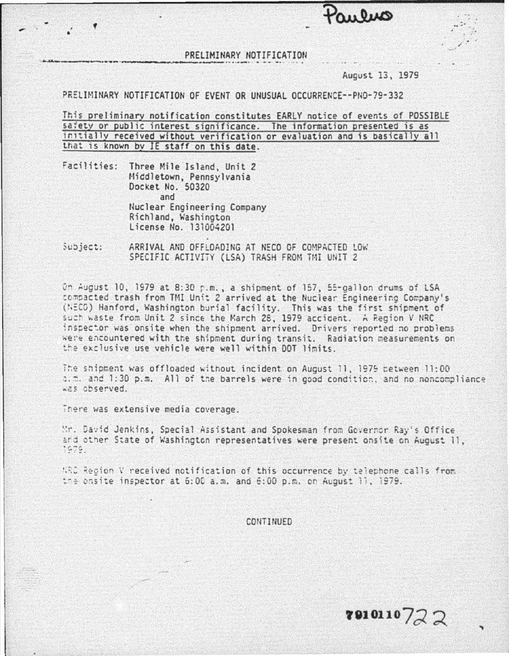PRELIMINARY NOTIFICATION

## August 13, 1979

 $0<sub>11</sub>0<sub>110</sub>$ 

## PRELIMINARY NOTIFICATION OF EVENT OR UNUSUAL OCCURRENCE--PNO-79-332

This preliminary notification constitutes EARLY notice of events of POSSIBLE safety or public interest significance. The information presented is as initially received without verification or evaluation and is basically all that is known by IE staff on this date.

Facilities: Three Mile Island, Unit 2 Middletown, Pennsylvania Docket No. 50320 and Nuclear Engineering Company Richland, Washington License No. 131004201

Subject: ARRIVAL AND OFFLOADING AT NECO OF COMPACTED LOW SPECIFIC ACTIVITY (LSA) TRASH FROM TMI UNIT 2

On August 10, 1979 at 8:30 p.m., a shipment of 157, 55-gallon drums of LSA compacted trash from TMI Unit 2 arrived at the Nuclear Engineering Company's (NECO) Hanford, Washington burial facility. This was the first shipment of such waste from Unit 2 since the March 28, 1979 accident. A Region V NRC inspector was onsite when the shipment arrived. Drivers reported no problems were encountered with the shipment during transit. Radiation measurements on the exclusive use vehicle were well within DOT limits.

The shipment was offloaded without incident on August 11, 1979 petween 11:00 a.m. and 1:30 p.m. All of the barrels were in good condition, and no noncompliance was observed.

There was extensive media coverage.

Mr. David Jenkins, Special Assistant and Spokesman from Governor Ray's Office and other State of Washington representatives were present onsite on August il, 1979.

WRC Region V received notification of this occurrence by telephone calls from the onsite inspector at 6:00 a.m. and 6:00 p.m. on August 11, 1979.

CONTINUED

 $8910110722$